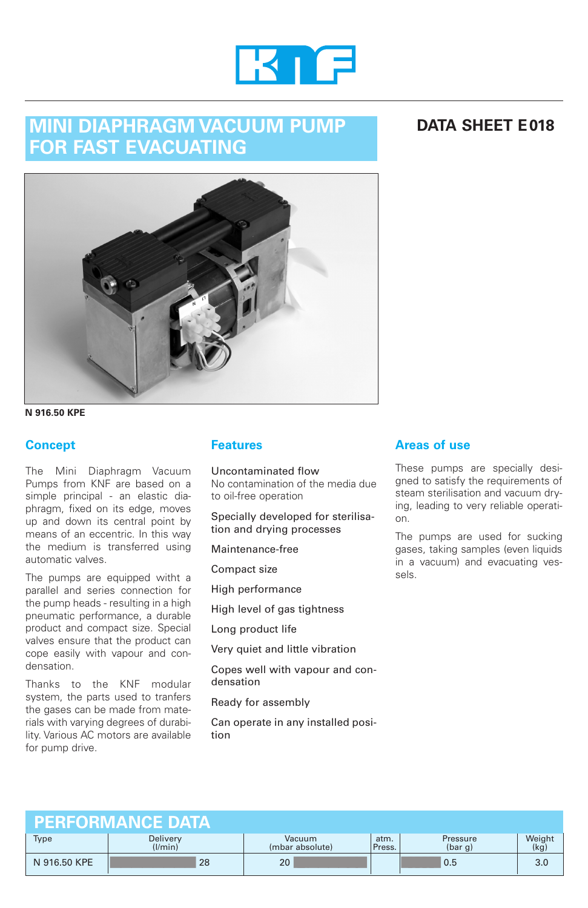

# **MINI DIAPHRAGM VACUUM PUMP FOR FAST EVACUATING**

## **DATA SHEET E018**



**N 916.50 KPE**

### **Concept**

The Mini Diaphragm Vacuum Pumps from KNF are based on a simple principal - an elastic diaphragm, fixed on its edge, moves up and down its central point by means of an eccentric. In this way the medium is transferred using automatic valves.

The pumps are equipped witht a parallel and series connection for the pump heads - resulting in a high pneumatic performance, a durable product and compact size. Special valves ensure that the product can cope easily with vapour and condensation.

Thanks to the KNF modular system, the parts used to tranfers the gases can be made from materials with varying degrees of durability. Various AC motors are available for pump drive.

### **Features**

Uncontaminated flow No contamination of the media due to oil-free operation

Specially developed for sterilisation and drying processes

Maintenance-free

Compact size

High performance

High level of gas tightness

Long product life

Very quiet and little vibration

Copes well with vapour and condensation

Ready for assembly

Can operate in any installed position

### **Areas of use**

These pumps are specially designed to satisfy the requirements of steam sterilisation and vacuum drying, leading to very reliable operation.

The pumps are used for sucking gases, taking samples (even liquids in a vacuum) and evacuating vessels.

| <b>PERFORMANCE DATA!</b> |                     |                           |                |                     |                |
|--------------------------|---------------------|---------------------------|----------------|---------------------|----------------|
| <b>Type</b>              | Delivery<br>(1/min) | Vacuum<br>(mbar absolute) | atm.<br>Press. | Pressure<br>(bar g) | Weight<br>(kg) |
| N 916.50 KPE             | 28                  | 20                        |                | 0.5                 | 3.0            |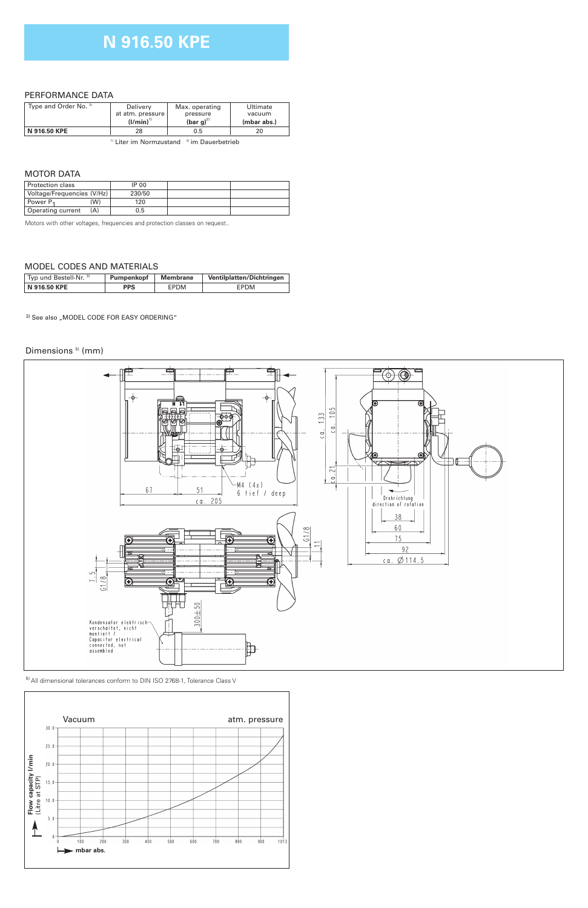## **N 916.50 KPE**

### PERFORMANCE DATA

| Type and Order No. 3) | Delivery<br>at atm. pressure | Max. operating<br>pressure                | Ultimate<br>vacuum |  |
|-----------------------|------------------------------|-------------------------------------------|--------------------|--|
|                       | $(I/min)^{1}$                | (bar $g^{(2)}$                            | (mbar abs.)        |  |
| N 916.50 KPE<br>28    |                              | 0.5                                       | 20                 |  |
|                       | .                            | $\sim$ $\sim$ $\sim$ $\sim$ $\sim$ $\sim$ |                    |  |

<sup>1)</sup> Liter im Normzustand <sup>2)</sup> im Dauerbetrieb

### MOTOR DATA

| Protection class            | IP 00  |  |
|-----------------------------|--------|--|
| Voltage/Frequencies (V/Hz)  | 230/50 |  |
| (W)<br>Power P <sub>1</sub> | 120    |  |
| Operating current           | 0.5    |  |
|                             |        |  |

Motors with other voltages, frequencies and protection classes on request..

### MODEL CODES AND MATERIALS

| <sup>1</sup> Typ und Bestell-Nr. <sup>3)</sup> | Pumpenkopf | <b>Membrane</b> | Ventilplatten/Dichtringen |
|------------------------------------------------|------------|-----------------|---------------------------|
| N 916.50 KPE                                   | <b>PPS</b> | EPDM            | EPDM                      |

3) See also "MODEL CODE FOR EASY ORDERING"

#### Dimensions<sup>5)</sup> (mm)



5) All dimensional tolerances conform to DIN ISO 2768-1, Tolerance Class V

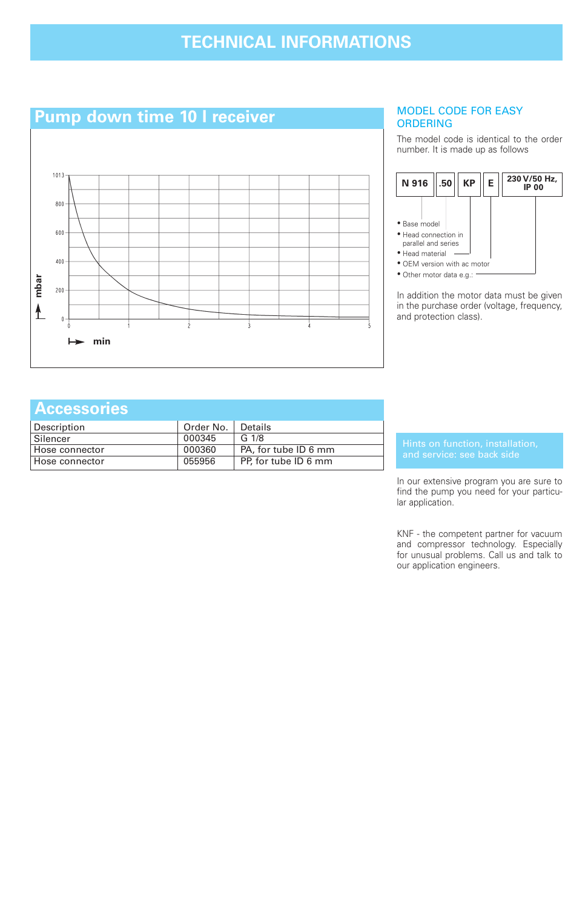# **TECHNICAL INFORMATIONS**



### MODEL CODE FOR EASY ORDERING

The model code is identical to the order number. It is made up as follows



In addition the motor data must be given in the purchase order (voltage, frequency, and protection class).

### **Accessories**

| Description    | Order No. | Details              |
|----------------|-----------|----------------------|
| Silencer       | 000345    | G <sub>1/8</sub>     |
| Hose connector | 000360    | PA, for tube ID 6 mm |
| Hose connector | 055956    | PP, for tube ID 6 mm |

In our extensive program you are sure to find the pump you need for your particular application.

KNF - the competent partner for vacuum and compressor technology. Especially for unusual problems. Call us and talk to our application engineers.